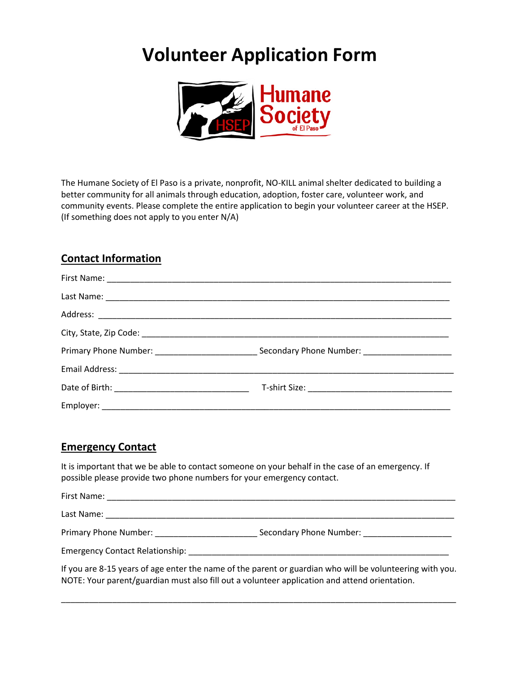# **Volunteer Application Form**



The Humane Society of El Paso is a private, nonprofit, NO-KILL animal shelter dedicated to building a better community for all animals through education, adoption, foster care, volunteer work, and community events. Please complete the entire application to begin your volunteer career at the HSEP. (If something does not apply to you enter N/A)

# **Contact Information**

## **Emergency Contact**

It is important that we be able to contact someone on your behalf in the case of an emergency. If possible please provide two phone numbers for your emergency contact.

| First Name:                            |                         |  |
|----------------------------------------|-------------------------|--|
| Last Name:                             |                         |  |
| Primary Phone Number:                  | Secondary Phone Number: |  |
| <b>Emergency Contact Relationship:</b> |                         |  |

If you are 8-15 years of age enter the name of the parent or guardian who will be volunteering with you. NOTE: Your parent/guardian must also fill out a volunteer application and attend orientation.

\_\_\_\_\_\_\_\_\_\_\_\_\_\_\_\_\_\_\_\_\_\_\_\_\_\_\_\_\_\_\_\_\_\_\_\_\_\_\_\_\_\_\_\_\_\_\_\_\_\_\_\_\_\_\_\_\_\_\_\_\_\_\_\_\_\_\_\_\_\_\_\_\_\_\_\_\_\_\_\_\_\_\_\_\_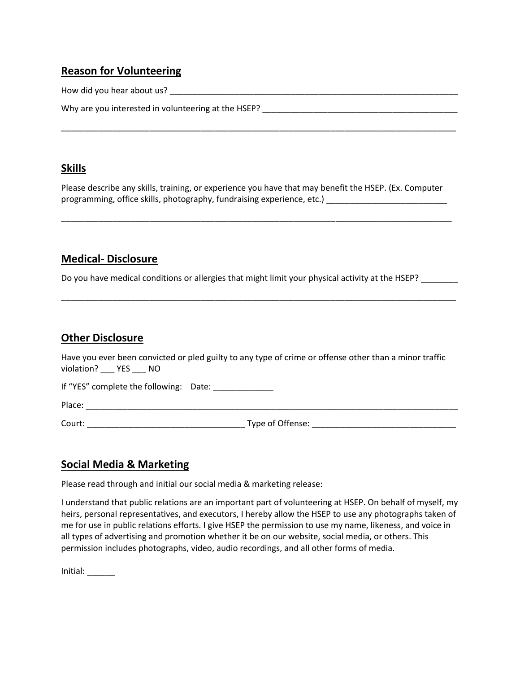## **Reason for Volunteering**

How did you hear about us? \_\_\_\_\_\_\_\_\_\_\_\_\_\_\_\_\_\_\_\_\_\_\_\_\_\_\_\_\_\_\_\_\_\_\_\_\_\_\_\_\_\_\_\_\_\_\_\_\_\_\_\_\_\_\_\_\_\_\_\_\_\_

| Why are you interested in volunteering at the HSEP? |  |
|-----------------------------------------------------|--|
|-----------------------------------------------------|--|

#### **Skills**

Please describe any skills, training, or experience you have that may benefit the HSEP. (Ex. Computer programming, office skills, photography, fundraising experience, etc.) \_\_\_\_\_\_\_\_\_\_\_\_\_\_\_\_\_\_\_\_\_\_\_\_\_\_\_\_

\_\_\_\_\_\_\_\_\_\_\_\_\_\_\_\_\_\_\_\_\_\_\_\_\_\_\_\_\_\_\_\_\_\_\_\_\_\_\_\_\_\_\_\_\_\_\_\_\_\_\_\_\_\_\_\_\_\_\_\_\_\_\_\_\_\_\_\_\_\_\_\_\_\_\_\_\_\_\_\_\_\_\_\_

\_\_\_\_\_\_\_\_\_\_\_\_\_\_\_\_\_\_\_\_\_\_\_\_\_\_\_\_\_\_\_\_\_\_\_\_\_\_\_\_\_\_\_\_\_\_\_\_\_\_\_\_\_\_\_\_\_\_\_\_\_\_\_\_\_\_\_\_\_\_\_\_\_\_\_\_\_\_\_\_\_\_\_\_\_

### **Medical- Disclosure**

Do you have medical conditions or allergies that might limit your physical activity at the HSEP?

#### **Other Disclosure**

Have you ever been convicted or pled guilty to any type of crime or offense other than a minor traffic violation? \_\_\_ YES \_\_\_ NO

\_\_\_\_\_\_\_\_\_\_\_\_\_\_\_\_\_\_\_\_\_\_\_\_\_\_\_\_\_\_\_\_\_\_\_\_\_\_\_\_\_\_\_\_\_\_\_\_\_\_\_\_\_\_\_\_\_\_\_\_\_\_\_\_\_\_\_\_\_\_\_\_\_\_\_\_\_\_\_\_\_\_\_\_\_

If "YES" complete the following: Date:

Place: \_\_\_\_\_\_\_\_\_\_\_\_\_\_\_\_\_\_\_\_\_\_\_\_\_\_\_\_\_\_\_\_\_\_\_\_\_\_\_\_\_\_\_\_\_\_\_\_\_\_\_\_\_\_\_\_\_\_\_\_\_\_\_\_\_\_\_\_\_\_\_\_\_\_\_\_\_\_\_\_

Court: \_\_\_\_\_\_\_\_\_\_\_\_\_\_\_\_\_\_\_\_\_\_\_\_\_\_\_\_\_\_\_\_\_\_ Type of Offense: \_\_\_\_\_\_\_\_\_\_\_\_\_\_\_\_\_\_\_\_\_\_\_\_\_\_\_\_\_\_\_

## **Social Media & Marketing**

Please read through and initial our social media & marketing release:

I understand that public relations are an important part of volunteering at HSEP. On behalf of myself, my heirs, personal representatives, and executors, I hereby allow the HSEP to use any photographs taken of me for use in public relations efforts. I give HSEP the permission to use my name, likeness, and voice in all types of advertising and promotion whether it be on our website, social media, or others. This permission includes photographs, video, audio recordings, and all other forms of media.

Initial: \_\_\_\_\_\_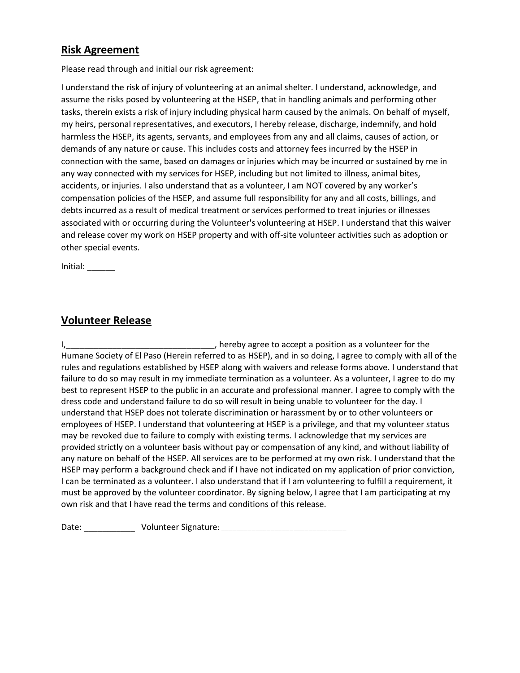## **Risk Agreement**

Please read through and initial our risk agreement:

I understand the risk of injury of volunteering at an animal shelter. I understand, acknowledge, and assume the risks posed by volunteering at the HSEP, that in handling animals and performing other tasks, therein exists a risk of injury including physical harm caused by the animals. On behalf of myself, my heirs, personal representatives, and executors, I hereby release, discharge, indemnify, and hold harmless the HSEP, its agents, servants, and employees from any and all claims, causes of action, or demands of any nature or cause. This includes costs and attorney fees incurred by the HSEP in connection with the same, based on damages or injuries which may be incurred or sustained by me in any way connected with my services for HSEP, including but not limited to illness, animal bites, accidents, or injuries. I also understand that as a volunteer, I am NOT covered by any worker's compensation policies of the HSEP, and assume full responsibility for any and all costs, billings, and debts incurred as a result of medical treatment or services performed to treat injuries or illnesses associated with or occurring during the Volunteer's volunteering at HSEP. I understand that this waiver and release cover my work on HSEP property and with off-site volunteer activities such as adoption or other special events.

Initial: \_\_\_\_\_\_

#### **Volunteer Release**

I, Letter the contract the contract of the contract of the contract of the contract of the contract of the contract of the contract of the contract of the contract of the contract of the contract of the contract of the con Humane Society of El Paso (Herein referred to as HSEP), and in so doing, I agree to comply with all of the rules and regulations established by HSEP along with waivers and release forms above. I understand that failure to do so may result in my immediate termination as a volunteer. As a volunteer, I agree to do my best to represent HSEP to the public in an accurate and professional manner. I agree to comply with the dress code and understand failure to do so will result in being unable to volunteer for the day. I understand that HSEP does not tolerate discrimination or harassment by or to other volunteers or employees of HSEP. I understand that volunteering at HSEP is a privilege, and that my volunteer status may be revoked due to failure to comply with existing terms. I acknowledge that my services are provided strictly on a volunteer basis without pay or compensation of any kind, and without liability of any nature on behalf of the HSEP. All services are to be performed at my own risk. I understand that the HSEP may perform a background check and if I have not indicated on my application of prior conviction, I can be terminated as a volunteer. I also understand that if I am volunteering to fulfill a requirement, it must be approved by the volunteer coordinator. By signing below, I agree that I am participating at my own risk and that I have read the terms and conditions of this release.

Date: \_\_\_\_\_\_\_\_\_\_\_\_\_\_\_\_\_ Volunteer Signature: \_\_\_\_\_\_\_\_\_\_\_\_\_\_\_\_\_\_\_\_\_\_\_\_\_\_\_\_\_\_\_\_\_\_\_